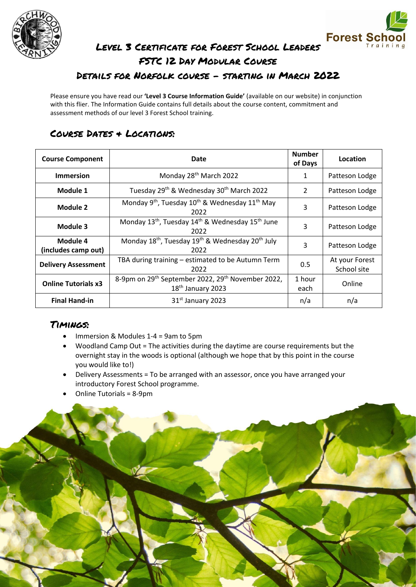



# Level 3 Certificate for Forest School Leaders FSTC 12 Day Modular Course Details for Norfolk course - starting in March 2022

Please ensure you have read our **'Level 3 Course Information Guide'** (available on our website) in conjunction with this flier. The Information Guide contains full details about the course content, commitment and assessment methods of our level 3 Forest School training.

# Course Dates & Locations:

| <b>Course Component</b>         | Date                                                                                                       | <b>Number</b><br>of Days | Location                      |
|---------------------------------|------------------------------------------------------------------------------------------------------------|--------------------------|-------------------------------|
| <b>Immersion</b>                | Monday 28 <sup>th</sup> March 2022                                                                         | 1                        | Patteson Lodge                |
| Module 1                        | Tuesday 29th & Wednesday 30th March 2022                                                                   | $\mathcal{P}$            | Patteson Lodge                |
| Module 2                        | Monday 9 <sup>th</sup> , Tuesday 10 <sup>th</sup> & Wednesday 11 <sup>th</sup> May<br>2022                 | 3                        | Patteson Lodge                |
| Module 3                        | Monday 13 <sup>th</sup> , Tuesday 14 <sup>th</sup> & Wednesday 15 <sup>th</sup> June<br>2022               | 3                        | Patteson Lodge                |
| Module 4<br>(includes camp out) | Monday 18 <sup>th</sup> , Tuesday 19 <sup>th</sup> & Wednesday 20 <sup>th</sup> July<br>2022               | 3                        | Patteson Lodge                |
| <b>Delivery Assessment</b>      | TBA during training - estimated to be Autumn Term<br>2022                                                  | 0.5                      | At your Forest<br>School site |
| <b>Online Tutorials x3</b>      | 8-9pm on 29 <sup>th</sup> September 2022, 29 <sup>th</sup> November 2022,<br>18 <sup>th</sup> January 2023 | 1 hour<br>each           | Online                        |
| <b>Final Hand-in</b>            | 31 <sup>st</sup> January 2023                                                                              | n/a                      | n/a                           |

## Timings:

- Immersion & Modules 1-4 = 9am to 5pm
- Woodland Camp Out = The activities during the daytime are course requirements but the overnight stay in the woods is optional (although we hope that by this point in the course you would like to!)
- Delivery Assessments = To be arranged with an assessor, once you have arranged your introductory Forest School programme.
- Online Tutorials = 8-9pm

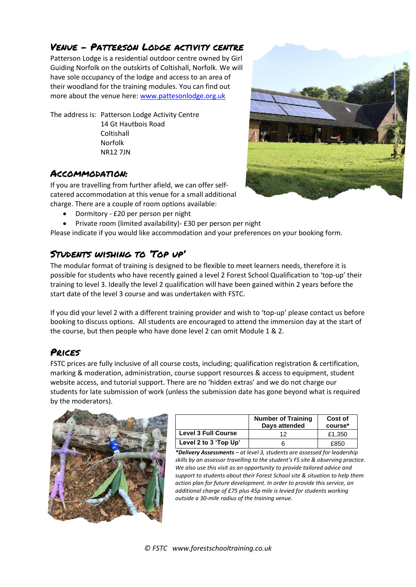## Venue – Patterson Lodge activity centre

Patterson Lodge is a residential outdoor centre owned by Girl Guiding Norfolk on the outskirts of Coltishall, Norfolk. We will have sole occupancy of the lodge and access to an area of their woodland for the training modules. You can find out more about the venue here[: www.pattesonlodge.org.uk](http://www.pattesonlodge.org.uk/)

The address is: Patterson Lodge Activity Centre 14 Gt Hautbois Road **Coltishall** Norfolk NR12 7JN

#### Accommodation:

If you are travelling from further afield, we can offer selfcatered accommodation at this venue for a small additional charge. There are a couple of room options available:

- Dormitory £20 per person per night
- Private room (limited availability)- £30 per person per night

Please indicate if you would like accommodation and your preferences on your booking form.

### Students wishing to 'Top up'

The modular format of training is designed to be flexible to meet learners needs, therefore it is possible for students who have recently gained a level 2 Forest School Qualification to 'top-up' their training to level 3. Ideally the level 2 qualification will have been gained within 2 years before the start date of the level 3 course and was undertaken with FSTC.

If you did your level 2 with a different training provider and wish to 'top-up' please contact us before booking to discuss options. All students are encouraged to attend the immersion day at the start of the course, but then people who have done level 2 can omit Module 1 & 2.

## Prices

FSTC prices are fully inclusive of all course costs, including; qualification registration & certification, marking & moderation, administration, course support resources & access to equipment, student website access, and tutorial support. There are no 'hidden extras' and we do not charge our students for late submission of work (unless the submission date has gone beyond what is required by the moderators).



|                            | <b>Number of Training</b><br>Days attended | Cost of<br>course* |
|----------------------------|--------------------------------------------|--------------------|
| <b>Level 3 Full Course</b> | イク                                         | £1.350             |
| Level 2 to 3 'Top Up'      |                                            | £850               |

*\*Delivery Assessments – at level 3, students are assessed for leadership skills by an assessor travelling to the student's FS site & observing practice. We also use this visit as an opportunity to provide tailored advice and support to students about their Forest School site & situation to help them action plan for future development. In order to provide this service, an additional charge of £75 plus 45p mile is levied for students working outside a 30-mile radius of the training venue.* 

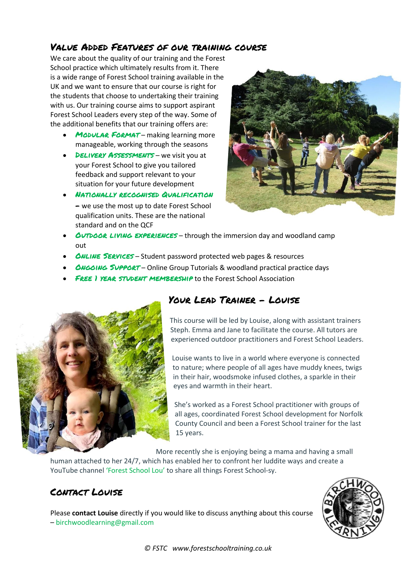### Value Added Features of our training course

We care about the quality of our training and the Forest School practice which ultimately results from it. There is a wide range of Forest School training available in the UK and we want to ensure that our course is right for the students that choose to undertaking their training with us. Our training course aims to support aspirant Forest School Leaders every step of the way. Some of the additional benefits that our training offers are:

- MODULAR FORMAT making learning more manageable, working through the seasons
- DELIVERY ASSESSMENTS we visit you at your Forest School to give you tailored feedback and support relevant to your situation for your future development
- Nationally recognised Qualification – we use the most up to date Forest School qualification units. These are the national standard and on the QCF



- **OUTDOOR LIVING EXPERIENCES** through the immersion day and woodland camp out
- *ONLINE SERVICES* Student password protected web pages & resources
- *ONGOING SUPPORT Online Group Tutorials & woodland practical practice days*
- **FREE I YEAR STUDENT MEMBERSHIP to the Forest School Association**



# Your Lead Trainer - Louise

This course will be led by Louise, along with assistant trainers Steph. Emma and Jane to facilitate the course. All tutors are experienced outdoor practitioners and Forest School Leaders.

Louise wants to live in a world where everyone is connected to nature; where people of all ages have muddy knees, twigs in their hair, woodsmoke infused clothes, a sparkle in their eyes and warmth in their heart.

She's worked as a Forest School practitioner with groups of all ages, coordinated Forest School development for Norfolk County Council and been a Forest School trainer for the last 15 years.

More recently she is enjoying being a mama and having a small

human attached to her 24/7, which has enabled her to confront her luddite ways and create a YouTube channel ['Forest School Lou'](http://www.youtube.com/c/ForestSchoolLou) to share all things Forest School-sy.

# Contact Louise

Please **contact Louise** directly if you would like to discuss anything about this course – [birchwoodlearning@gmail.com](mailto:birchwoodlearning@gmail.com)